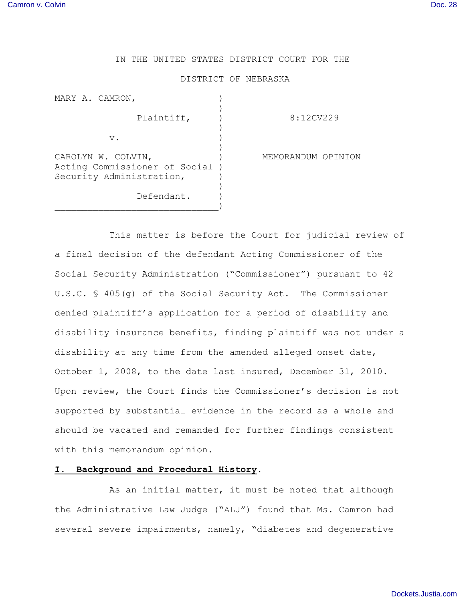# IN THE UNITED STATES DISTRICT COURT FOR THE

#### DISTRICT OF NEBRASKA

| MARY A. CAMRON,                                                                   |                    |
|-----------------------------------------------------------------------------------|--------------------|
| Plaintiff,                                                                        | 8:12CV229          |
| $V$ .                                                                             |                    |
| CAROLYN W. COLVIN,<br>Acting Commissioner of Social )<br>Security Administration, | MEMORANDUM OPINION |
| Defendant.                                                                        |                    |

This matter is before the Court for judicial review of a final decision of the defendant Acting Commissioner of the Social Security Administration ("Commissioner") pursuant to 42 U.S.C. § 405(g) of the Social Security Act. The Commissioner denied plaintiff's application for a period of disability and disability insurance benefits, finding plaintiff was not under a disability at any time from the amended alleged onset date, October 1, 2008, to the date last insured, December 31, 2010. Upon review, the Court finds the Commissioner's decision is not supported by substantial evidence in the record as a whole and should be vacated and remanded for further findings consistent with this memorandum opinion.

## **I. Background and Procedural History.**

As an initial matter, it must be noted that although the Administrative Law Judge ("ALJ") found that Ms. Camron had several severe impairments, namely, "diabetes and degenerative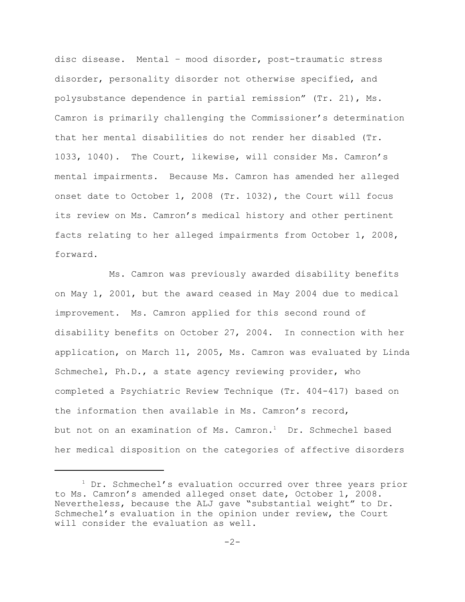disc disease. Mental – mood disorder, post-traumatic stress disorder, personality disorder not otherwise specified, and polysubstance dependence in partial remission" (Tr. 21), Ms. Camron is primarily challenging the Commissioner's determination that her mental disabilities do not render her disabled (Tr. 1033, 1040). The Court, likewise, will consider Ms. Camron's mental impairments. Because Ms. Camron has amended her alleged onset date to October 1, 2008 (Tr. 1032), the Court will focus its review on Ms. Camron's medical history and other pertinent facts relating to her alleged impairments from October 1, 2008, forward.

Ms. Camron was previously awarded disability benefits on May 1, 2001, but the award ceased in May 2004 due to medical improvement. Ms. Camron applied for this second round of disability benefits on October 27, 2004. In connection with her application, on March 11, 2005, Ms. Camron was evaluated by Linda Schmechel, Ph.D., a state agency reviewing provider, who completed a Psychiatric Review Technique (Tr. 404-417) based on the information then available in Ms. Camron's record, but not on an examination of Ms. Camron.<sup>1</sup> Dr. Schmechel based her medical disposition on the categories of affective disorders

<sup>&</sup>lt;sup>1</sup> Dr. Schmechel's evaluation occurred over three years prior to Ms. Camron's amended alleged onset date, October 1, 2008. Nevertheless, because the ALJ gave "substantial weight" to Dr. Schmechel's evaluation in the opinion under review, the Court will consider the evaluation as well.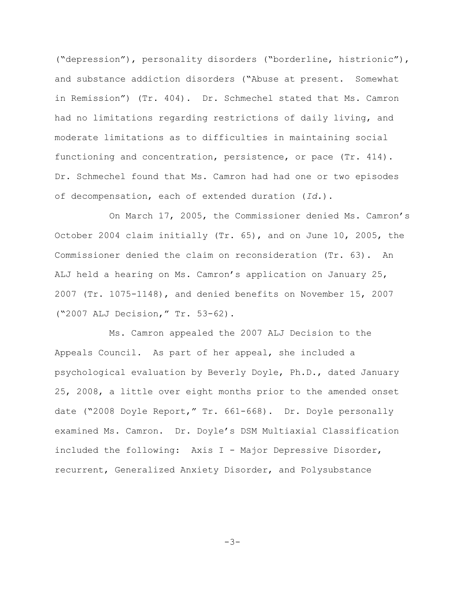("depression"), personality disorders ("borderline, histrionic"), and substance addiction disorders ("Abuse at present. Somewhat in Remission") (Tr. 404). Dr. Schmechel stated that Ms. Camron had no limitations regarding restrictions of daily living, and moderate limitations as to difficulties in maintaining social functioning and concentration, persistence, or pace (Tr. 414). Dr. Schmechel found that Ms. Camron had had one or two episodes of decompensation, each of extended duration (*Id.*).

On March 17, 2005, the Commissioner denied Ms. Camron's October 2004 claim initially (Tr. 65), and on June 10, 2005, the Commissioner denied the claim on reconsideration (Tr. 63). An ALJ held a hearing on Ms. Camron's application on January 25, 2007 (Tr. 1075-1148), and denied benefits on November 15, 2007 ("2007 ALJ Decision," Tr. 53-62).

Ms. Camron appealed the 2007 ALJ Decision to the Appeals Council. As part of her appeal, she included a psychological evaluation by Beverly Doyle, Ph.D., dated January 25, 2008, a little over eight months prior to the amended onset date ("2008 Doyle Report," Tr. 661-668). Dr. Doyle personally examined Ms. Camron. Dr. Doyle's DSM Multiaxial Classification included the following: Axis I - Major Depressive Disorder, recurrent, Generalized Anxiety Disorder, and Polysubstance

-3-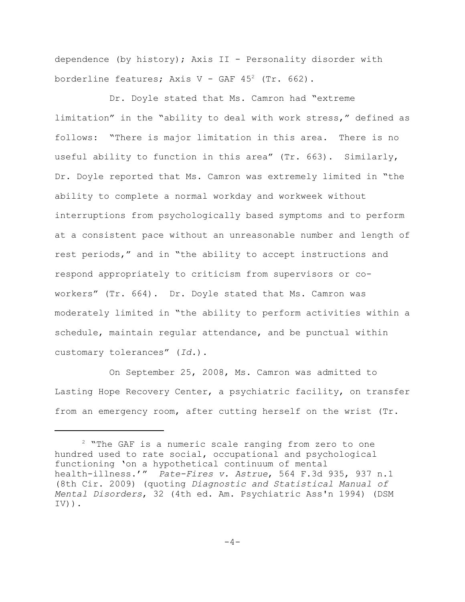dependence (by history); Axis II - Personality disorder with borderline features; Axis V - GAF  $45^2$  (Tr. 662).

Dr. Doyle stated that Ms. Camron had "extreme limitation" in the "ability to deal with work stress," defined as follows: "There is major limitation in this area. There is no useful ability to function in this area" (Tr. 663). Similarly, Dr. Doyle reported that Ms. Camron was extremely limited in "the ability to complete a normal workday and workweek without interruptions from psychologically based symptoms and to perform at a consistent pace without an unreasonable number and length of rest periods," and in "the ability to accept instructions and respond appropriately to criticism from supervisors or coworkers" (Tr. 664). Dr. Doyle stated that Ms. Camron was moderately limited in "the ability to perform activities within a schedule, maintain regular attendance, and be punctual within customary tolerances" (*Id.*).

On September 25, 2008, Ms. Camron was admitted to Lasting Hope Recovery Center, a psychiatric facility, on transfer from an emergency room, after cutting herself on the wrist (Tr.

<sup>&</sup>lt;sup>2</sup> "The GAF is a numeric scale ranging from zero to one hundred used to rate social, occupational and psychological functioning 'on a hypothetical continuum of mental health-illness.'"• *Pate-Fires v. Astrue*, 564 F.3d 935, 937 n.1 (8th Cir. 2009) (quoting *Diagnostic and Statistical Manual of Mental Disorders*, 32 (4th ed. Am. Psychiatric Ass'n 1994) (DSM  $IV)$ ).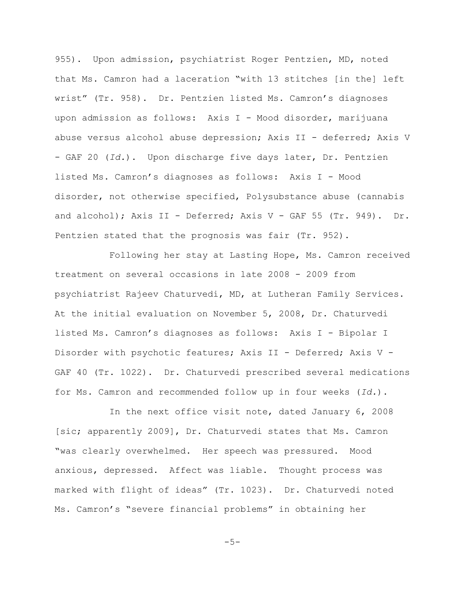955). Upon admission, psychiatrist Roger Pentzien, MD, noted that Ms. Camron had a laceration "with 13 stitches [in the] left wrist" (Tr. 958). Dr. Pentzien listed Ms. Camron's diagnoses upon admission as follows: Axis I - Mood disorder, marijuana abuse versus alcohol abuse depression; Axis II - deferred; Axis V - GAF 20 (*Id.*). Upon discharge five days later, Dr. Pentzien listed Ms. Camron's diagnoses as follows: Axis I - Mood disorder, not otherwise specified, Polysubstance abuse (cannabis and alcohol); Axis II - Deferred; Axis V - GAF 55 (Tr. 949). Dr. Pentzien stated that the prognosis was fair (Tr. 952).

Following her stay at Lasting Hope, Ms. Camron received treatment on several occasions in late 2008 - 2009 from psychiatrist Rajeev Chaturvedi, MD, at Lutheran Family Services. At the initial evaluation on November 5, 2008, Dr. Chaturvedi listed Ms. Camron's diagnoses as follows: Axis I - Bipolar I Disorder with psychotic features; Axis II - Deferred; Axis V - GAF 40 (Tr. 1022). Dr. Chaturvedi prescribed several medications for Ms. Camron and recommended follow up in four weeks (*Id.*).

In the next office visit note, dated January 6, 2008 [sic; apparently 2009], Dr. Chaturvedi states that Ms. Camron "was clearly overwhelmed. Her speech was pressured. Mood anxious, depressed. Affect was liable. Thought process was marked with flight of ideas" (Tr. 1023). Dr. Chaturvedi noted Ms. Camron's "severe financial problems" in obtaining her

 $-5-$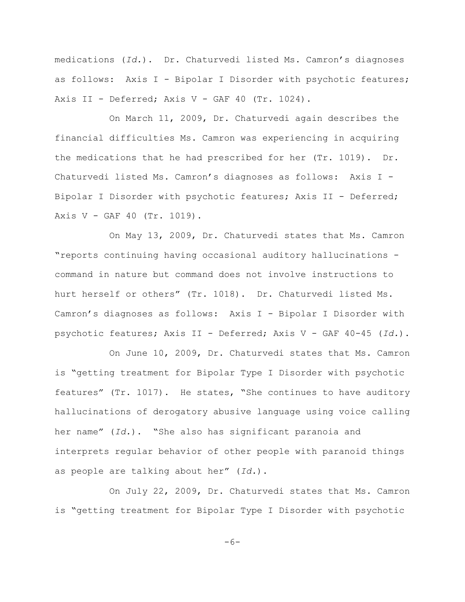medications (*Id.*). Dr. Chaturvedi listed Ms. Camron's diagnoses as follows: Axis I - Bipolar I Disorder with psychotic features; Axis II - Deferred; Axis V - GAF 40 (Tr. 1024).

On March 11, 2009, Dr. Chaturvedi again describes the financial difficulties Ms. Camron was experiencing in acquiring the medications that he had prescribed for her (Tr. 1019). Dr. Chaturvedi listed Ms. Camron's diagnoses as follows: Axis I - Bipolar I Disorder with psychotic features; Axis II - Deferred; Axis V - GAF 40 (Tr. 1019).

On May 13, 2009, Dr. Chaturvedi states that Ms. Camron "reports continuing having occasional auditory hallucinations command in nature but command does not involve instructions to hurt herself or others" (Tr. 1018). Dr. Chaturvedi listed Ms. Camron's diagnoses as follows: Axis I - Bipolar I Disorder with psychotic features; Axis II - Deferred; Axis V - GAF 40-45 (*Id.*).

On June 10, 2009, Dr. Chaturvedi states that Ms. Camron is "getting treatment for Bipolar Type I Disorder with psychotic features" (Tr. 1017). He states, "She continues to have auditory hallucinations of derogatory abusive language using voice calling her name" (*Id.*). "She also has significant paranoia and interprets regular behavior of other people with paranoid things as people are talking about her" (*Id.*).

On July 22, 2009, Dr. Chaturvedi states that Ms. Camron is "getting treatment for Bipolar Type I Disorder with psychotic

 $-6-$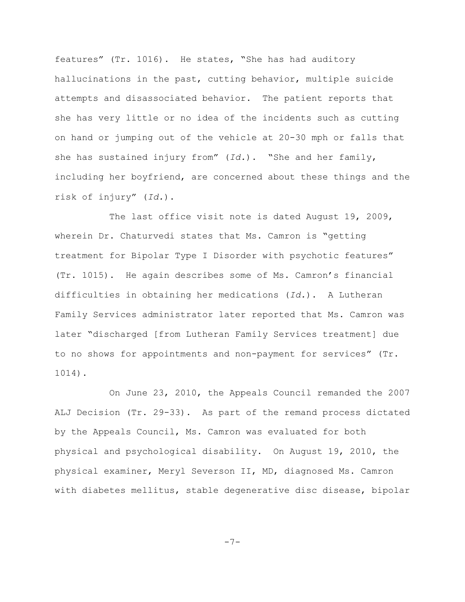features" (Tr. 1016). He states, "She has had auditory hallucinations in the past, cutting behavior, multiple suicide attempts and disassociated behavior. The patient reports that she has very little or no idea of the incidents such as cutting on hand or jumping out of the vehicle at 20-30 mph or falls that she has sustained injury from" (*Id.*). "She and her family, including her boyfriend, are concerned about these things and the risk of injury" (*Id.*).

The last office visit note is dated August 19, 2009, wherein Dr. Chaturvedi states that Ms. Camron is "getting treatment for Bipolar Type I Disorder with psychotic features" (Tr. 1015). He again describes some of Ms. Camron's financial difficulties in obtaining her medications (*Id.*). A Lutheran Family Services administrator later reported that Ms. Camron was later "discharged [from Lutheran Family Services treatment] due to no shows for appointments and non-payment for services" (Tr. 1014).

On June 23, 2010, the Appeals Council remanded the 2007 ALJ Decision (Tr. 29-33). As part of the remand process dictated by the Appeals Council, Ms. Camron was evaluated for both physical and psychological disability. On August 19, 2010, the physical examiner, Meryl Severson II, MD, diagnosed Ms. Camron with diabetes mellitus, stable degenerative disc disease, bipolar

-7-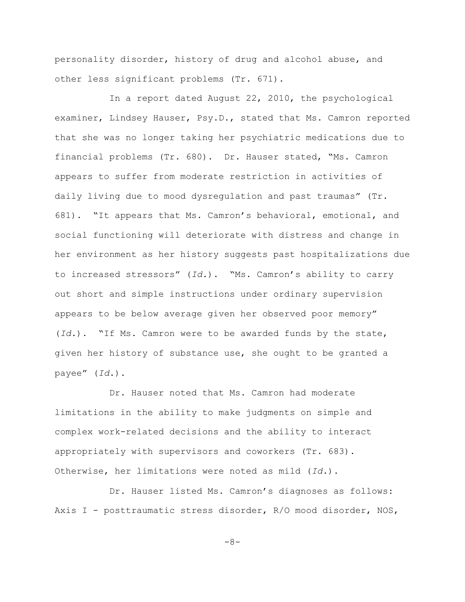personality disorder, history of drug and alcohol abuse, and other less significant problems (Tr. 671).

In a report dated August 22, 2010, the psychological examiner, Lindsey Hauser, Psy.D., stated that Ms. Camron reported that she was no longer taking her psychiatric medications due to financial problems (Tr. 680). Dr. Hauser stated, "Ms. Camron appears to suffer from moderate restriction in activities of daily living due to mood dysregulation and past traumas" (Tr. 681). "It appears that Ms. Camron's behavioral, emotional, and social functioning will deteriorate with distress and change in her environment as her history suggests past hospitalizations due to increased stressors" (*Id.*). "Ms. Camron's ability to carry out short and simple instructions under ordinary supervision appears to be below average given her observed poor memory" (*Id.*). "If Ms. Camron were to be awarded funds by the state, given her history of substance use, she ought to be granted a payee" (*Id.*).

Dr. Hauser noted that Ms. Camron had moderate limitations in the ability to make judgments on simple and complex work-related decisions and the ability to interact appropriately with supervisors and coworkers (Tr. 683). Otherwise, her limitations were noted as mild (*Id.*).

Dr. Hauser listed Ms. Camron's diagnoses as follows: Axis I - posttraumatic stress disorder, R/O mood disorder, NOS,

-8-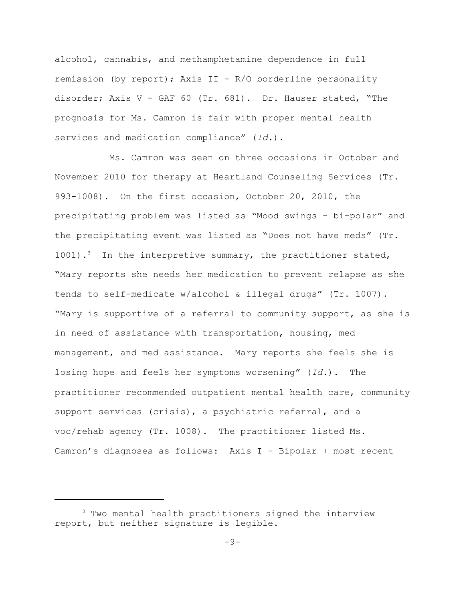alcohol, cannabis, and methamphetamine dependence in full remission (by report); Axis II - R/O borderline personality disorder; Axis V - GAF 60 (Tr. 681). Dr. Hauser stated, "The prognosis for Ms. Camron is fair with proper mental health services and medication compliance" (*Id.*).

Ms. Camron was seen on three occasions in October and November 2010 for therapy at Heartland Counseling Services (Tr. 993-1008). On the first occasion, October 20, 2010, the precipitating problem was listed as "Mood swings - bi-polar" and the precipitating event was listed as "Does not have meds" (Tr.  $1001$ ).<sup>3</sup> In the interpretive summary, the practitioner stated, "Mary reports she needs her medication to prevent relapse as she tends to self-medicate w/alcohol & illegal drugs" (Tr. 1007). "Mary is supportive of a referral to community support, as she is in need of assistance with transportation, housing, med management, and med assistance. Mary reports she feels she is losing hope and feels her symptoms worsening" (*Id.*). The practitioner recommended outpatient mental health care, community support services (crisis), a psychiatric referral, and a voc/rehab agency (Tr. 1008). The practitioner listed Ms. Camron's diagnoses as follows: Axis I - Bipolar + most recent

<sup>&</sup>lt;sup>3</sup> Two mental health practitioners signed the interview report, but neither signature is legible.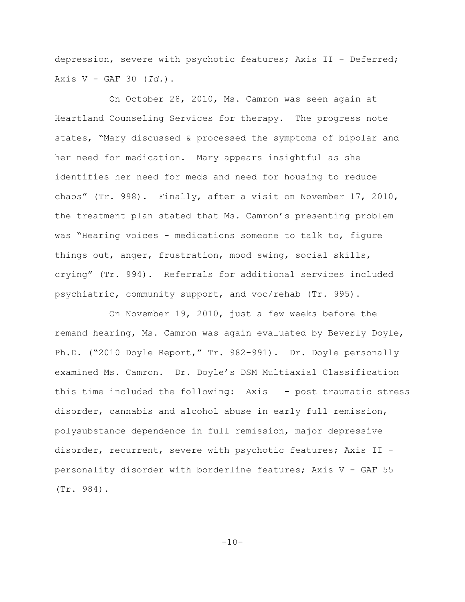depression, severe with psychotic features; Axis II - Deferred; Axis V - GAF 30 (*Id.*).

On October 28, 2010, Ms. Camron was seen again at Heartland Counseling Services for therapy. The progress note states, "Mary discussed & processed the symptoms of bipolar and her need for medication. Mary appears insightful as she identifies her need for meds and need for housing to reduce chaos" (Tr. 998). Finally, after a visit on November 17, 2010, the treatment plan stated that Ms. Camron's presenting problem was "Hearing voices - medications someone to talk to, figure things out, anger, frustration, mood swing, social skills, crying" (Tr. 994). Referrals for additional services included psychiatric, community support, and voc/rehab (Tr. 995).

On November 19, 2010, just a few weeks before the remand hearing, Ms. Camron was again evaluated by Beverly Doyle, Ph.D. ("2010 Doyle Report," Tr. 982-991). Dr. Doyle personally examined Ms. Camron. Dr. Doyle's DSM Multiaxial Classification this time included the following: Axis I - post traumatic stress disorder, cannabis and alcohol abuse in early full remission, polysubstance dependence in full remission, major depressive disorder, recurrent, severe with psychotic features; Axis II personality disorder with borderline features; Axis V - GAF 55 (Tr. 984).

 $-10-$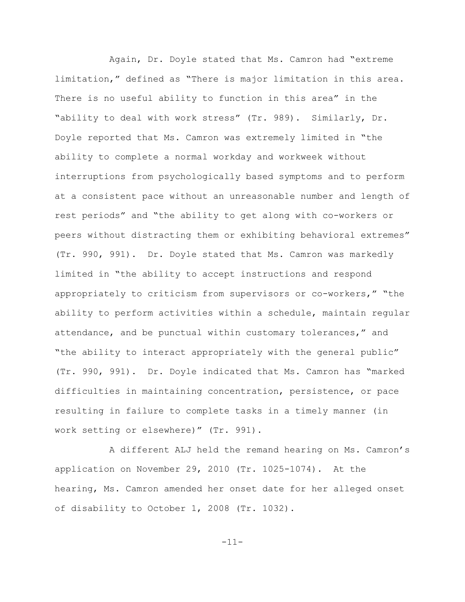Again, Dr. Doyle stated that Ms. Camron had "extreme limitation," defined as "There is major limitation in this area. There is no useful ability to function in this area" in the "ability to deal with work stress" (Tr. 989). Similarly, Dr. Doyle reported that Ms. Camron was extremely limited in "the ability to complete a normal workday and workweek without interruptions from psychologically based symptoms and to perform at a consistent pace without an unreasonable number and length of rest periods" and "the ability to get along with co-workers or peers without distracting them or exhibiting behavioral extremes" (Tr. 990, 991). Dr. Doyle stated that Ms. Camron was markedly limited in "the ability to accept instructions and respond appropriately to criticism from supervisors or co-workers," "the ability to perform activities within a schedule, maintain regular attendance, and be punctual within customary tolerances," and "the ability to interact appropriately with the general public" (Tr. 990, 991). Dr. Doyle indicated that Ms. Camron has "marked difficulties in maintaining concentration, persistence, or pace resulting in failure to complete tasks in a timely manner (in work setting or elsewhere)" (Tr. 991).

A different ALJ held the remand hearing on Ms. Camron's application on November 29, 2010 (Tr. 1025-1074). At the hearing, Ms. Camron amended her onset date for her alleged onset of disability to October 1, 2008 (Tr. 1032).

-11-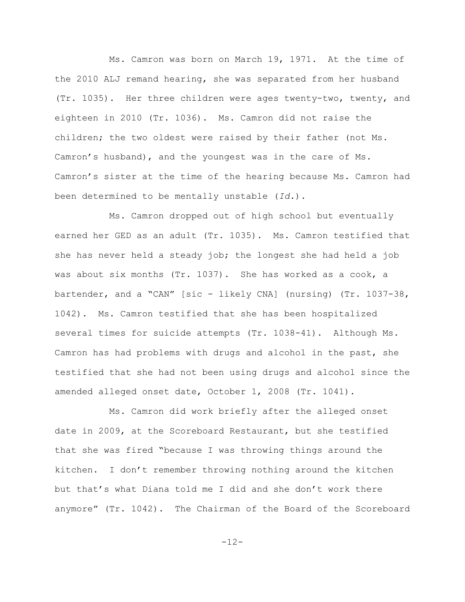Ms. Camron was born on March 19, 1971. At the time of the 2010 ALJ remand hearing, she was separated from her husband (Tr. 1035). Her three children were ages twenty-two, twenty, and eighteen in 2010 (Tr. 1036). Ms. Camron did not raise the children; the two oldest were raised by their father (not Ms. Camron's husband), and the youngest was in the care of Ms. Camron's sister at the time of the hearing because Ms. Camron had been determined to be mentally unstable (*Id.*).

Ms. Camron dropped out of high school but eventually earned her GED as an adult (Tr. 1035). Ms. Camron testified that she has never held a steady job; the longest she had held a job was about six months (Tr. 1037). She has worked as a cook, a bartender, and a "CAN" [sic - likely CNA] (nursing) (Tr. 1037-38, 1042). Ms. Camron testified that she has been hospitalized several times for suicide attempts (Tr. 1038-41). Although Ms. Camron has had problems with drugs and alcohol in the past, she testified that she had not been using drugs and alcohol since the amended alleged onset date, October 1, 2008 (Tr. 1041).

Ms. Camron did work briefly after the alleged onset date in 2009, at the Scoreboard Restaurant, but she testified that she was fired "because I was throwing things around the kitchen. I don't remember throwing nothing around the kitchen but that's what Diana told me I did and she don't work there anymore" (Tr. 1042). The Chairman of the Board of the Scoreboard

-12-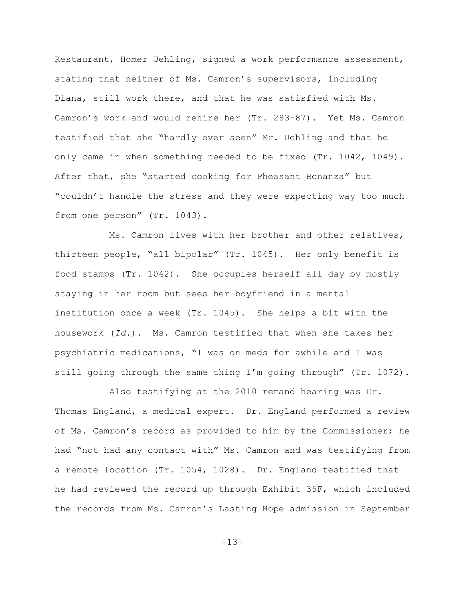Restaurant, Homer Uehling, signed a work performance assessment, stating that neither of Ms. Camron's supervisors, including Diana, still work there, and that he was satisfied with Ms. Camron's work and would rehire her (Tr. 283-87). Yet Ms. Camron testified that she "hardly ever seen" Mr. Uehling and that he only came in when something needed to be fixed (Tr. 1042, 1049). After that, she "started cooking for Pheasant Bonanza" but "couldn't handle the stress and they were expecting way too much from one person" (Tr. 1043).

Ms. Camron lives with her brother and other relatives, thirteen people, "all bipolar" (Tr. 1045). Her only benefit is food stamps (Tr. 1042). She occupies herself all day by mostly staying in her room but sees her boyfriend in a mental institution once a week (Tr. 1045). She helps a bit with the housework (*Id.*). Ms. Camron testified that when she takes her psychiatric medications, "I was on meds for awhile and I was still going through the same thing I'm going through" (Tr. 1072).

Also testifying at the 2010 remand hearing was Dr. Thomas England, a medical expert. Dr. England performed a review of Ms. Camron's record as provided to him by the Commissioner; he had "not had any contact with" Ms. Camron and was testifying from a remote location (Tr. 1054, 1028). Dr. England testified that he had reviewed the record up through Exhibit 35F, which included the records from Ms. Camron's Lasting Hope admission in September

-13-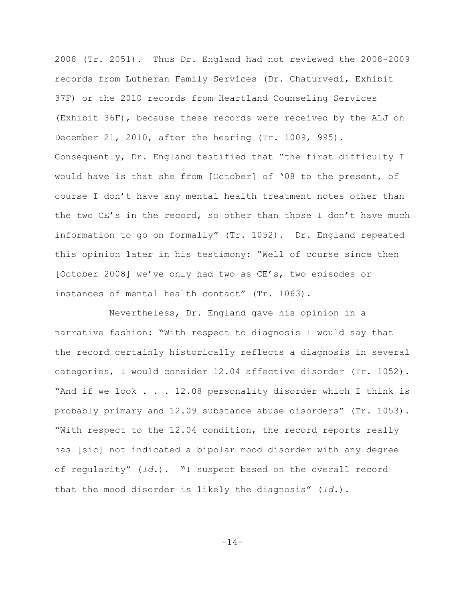2008 (Tr. 2051). Thus Dr. England had not reviewed the 2008-2009 records from Lutheran Family Services (Dr. Chaturvedi, Exhibit 37F) or the 2010 records from Heartland Counseling Services (Exhibit 36F), because these records were received by the ALJ on December 21, 2010, after the hearing (Tr. 1009, 995). Consequently, Dr. England testified that "the first difficulty I would have is that she from [October] of '08 to the present, of course I don't have any mental health treatment notes other than the two CE's in the record, so other than those I don't have much information to go on formally" (Tr. 1052). Dr. England repeated this opinion later in his testimony: "Well of course since then [October 2008] we've only had two as CE's, two episodes or instances of mental health contact" (Tr. 1063).

Nevertheless, Dr. England gave his opinion in a narrative fashion: "With respect to diagnosis I would say that the record certainly historically reflects a diagnosis in several categories, I would consider 12.04 affective disorder (Tr. 1052). "And if we look . . . 12.08 personality disorder which I think is probably primary and 12.09 substance abuse disorders" (Tr. 1053). "With respect to the 12.04 condition, the record reports really has [sic] not indicated a bipolar mood disorder with any degree of regularity" (*Id.*). "I suspect based on the overall record that the mood disorder is likely the diagnosis" (*Id.*).

-14-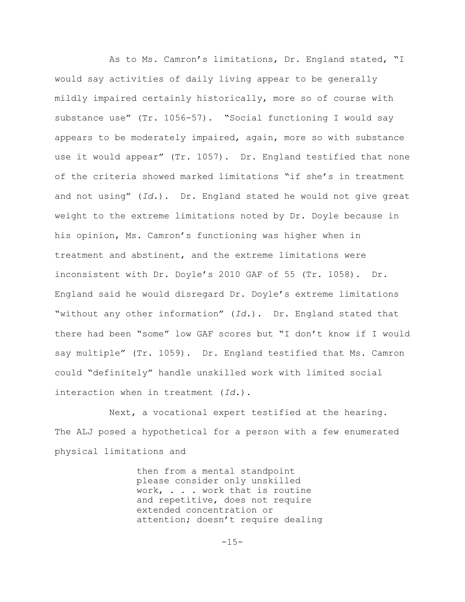As to Ms. Camron's limitations, Dr. England stated, "I would say activities of daily living appear to be generally mildly impaired certainly historically, more so of course with substance use" (Tr. 1056-57). "Social functioning I would say appears to be moderately impaired, again, more so with substance use it would appear" (Tr. 1057). Dr. England testified that none of the criteria showed marked limitations "if she's in treatment and not using" (*Id.*). Dr. England stated he would not give great weight to the extreme limitations noted by Dr. Doyle because in his opinion, Ms. Camron's functioning was higher when in treatment and abstinent, and the extreme limitations were inconsistent with Dr. Doyle's 2010 GAF of 55 (Tr. 1058). Dr. England said he would disregard Dr. Doyle's extreme limitations "without any other information" (*Id.*). Dr. England stated that there had been "some" low GAF scores but "I don't know if I would say multiple" (Tr. 1059). Dr. England testified that Ms. Camron could "definitely" handle unskilled work with limited social interaction when in treatment (*Id.*).

Next, a vocational expert testified at the hearing. The ALJ posed a hypothetical for a person with a few enumerated physical limitations and

> then from a mental standpoint please consider only unskilled work, . . . work that is routine and repetitive, does not require extended concentration or attention; doesn't require dealing

> > $-15-$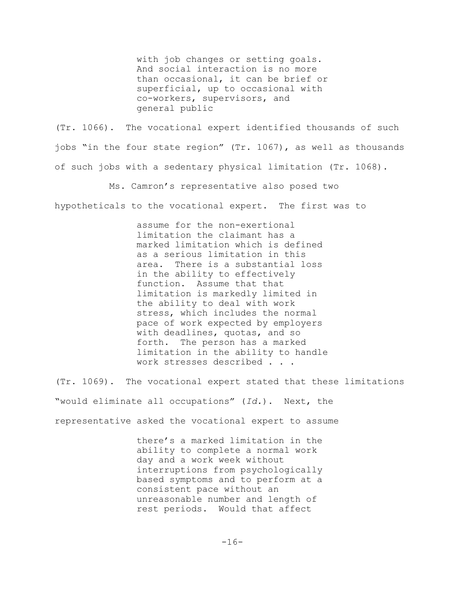with job changes or setting goals. And social interaction is no more than occasional, it can be brief or superficial, up to occasional with co-workers, supervisors, and general public

(Tr. 1066). The vocational expert identified thousands of such jobs "in the four state region" (Tr. 1067), as well as thousands of such jobs with a sedentary physical limitation (Tr. 1068).

Ms. Camron's representative also posed two

hypotheticals to the vocational expert. The first was to

assume for the non-exertional limitation the claimant has a marked limitation which is defined as a serious limitation in this area. There is a substantial loss in the ability to effectively function. Assume that that limitation is markedly limited in the ability to deal with work stress, which includes the normal pace of work expected by employers with deadlines, quotas, and so forth. The person has a marked limitation in the ability to handle work stresses described . . .

(Tr. 1069). The vocational expert stated that these limitations "would eliminate all occupations" (*Id.*). Next, the representative asked the vocational expert to assume

> there's a marked limitation in the ability to complete a normal work day and a work week without interruptions from psychologically based symptoms and to perform at a consistent pace without an unreasonable number and length of rest periods. Would that affect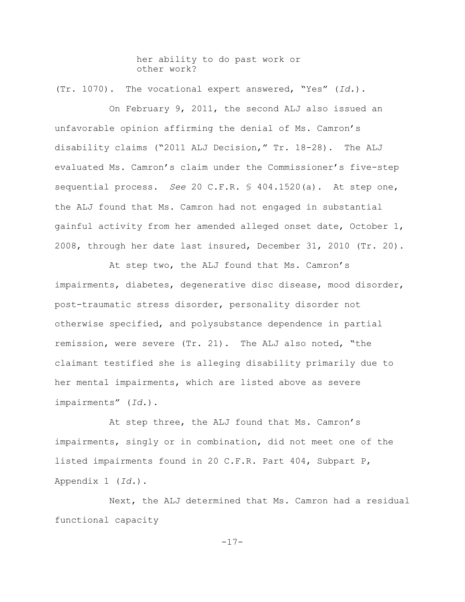her ability to do past work or other work?

(Tr. 1070). The vocational expert answered, "Yes" (*Id.*).

On February 9, 2011, the second ALJ also issued an unfavorable opinion affirming the denial of Ms. Camron's disability claims ("2011 ALJ Decision," Tr. 18-28). The ALJ evaluated Ms. Camron's claim under the Commissioner's five-step sequential process. *See* 20 C.F.R. § 404.1520(a). At step one, the ALJ found that Ms. Camron had not engaged in substantial gainful activity from her amended alleged onset date, October 1, 2008, through her date last insured, December 31, 2010 (Tr. 20).

At step two, the ALJ found that Ms. Camron's impairments, diabetes, degenerative disc disease, mood disorder, post-traumatic stress disorder, personality disorder not otherwise specified, and polysubstance dependence in partial remission, were severe (Tr. 21). The ALJ also noted, "the claimant testified she is alleging disability primarily due to her mental impairments, which are listed above as severe impairments" (*Id.*).

At step three, the ALJ found that Ms. Camron's impairments, singly or in combination, did not meet one of the listed impairments found in 20 C.F.R. Part 404, Subpart P, Appendix 1 (*Id.*).

Next, the ALJ determined that Ms. Camron had a residual functional capacity

-17-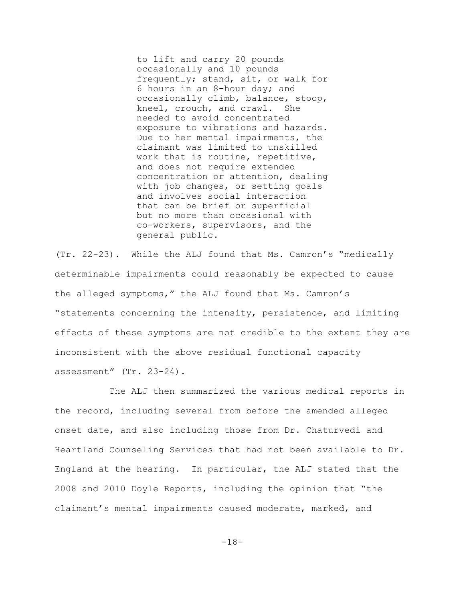to lift and carry 20 pounds occasionally and 10 pounds frequently; stand, sit, or walk for 6 hours in an 8-hour day; and occasionally climb, balance, stoop, kneel, crouch, and crawl. She needed to avoid concentrated exposure to vibrations and hazards. Due to her mental impairments, the claimant was limited to unskilled work that is routine, repetitive, and does not require extended concentration or attention, dealing with job changes, or setting goals and involves social interaction that can be brief or superficial but no more than occasional with co-workers, supervisors, and the general public.

(Tr. 22-23). While the ALJ found that Ms. Camron's "medically determinable impairments could reasonably be expected to cause the alleged symptoms," the ALJ found that Ms. Camron's "statements concerning the intensity, persistence, and limiting effects of these symptoms are not credible to the extent they are inconsistent with the above residual functional capacity assessment" (Tr. 23-24).

The ALJ then summarized the various medical reports in the record, including several from before the amended alleged onset date, and also including those from Dr. Chaturvedi and Heartland Counseling Services that had not been available to Dr. England at the hearing. In particular, the ALJ stated that the 2008 and 2010 Doyle Reports, including the opinion that "the claimant's mental impairments caused moderate, marked, and

-18-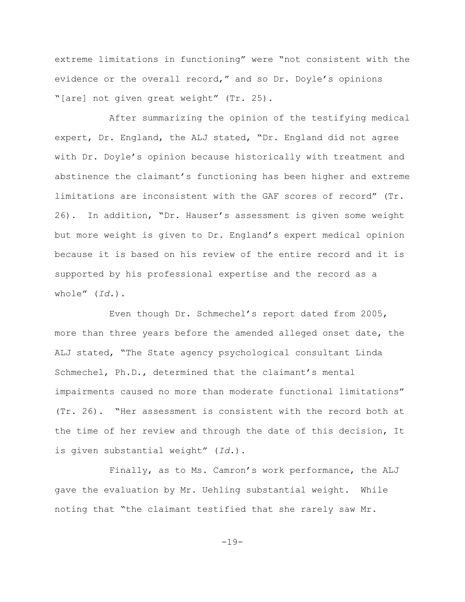extreme limitations in functioning" were "not consistent with the evidence or the overall record," and so Dr. Doyle's opinions "[are] not given great weight" (Tr. 25).

After summarizing the opinion of the testifying medical expert, Dr. England, the ALJ stated, "Dr. England did not agree with Dr. Doyle's opinion because historically with treatment and abstinence the claimant's functioning has been higher and extreme limitations are inconsistent with the GAF scores of record" (Tr. 26). In addition, "Dr. Hauser's assessment is given some weight but more weight is given to Dr. England's expert medical opinion because it is based on his review of the entire record and it is supported by his professional expertise and the record as a whole" (*Id.*).

Even though Dr. Schmechel's report dated from 2005, more than three years before the amended alleged onset date, the ALJ stated, "The State agency psychological consultant Linda Schmechel, Ph.D., determined that the claimant's mental impairments caused no more than moderate functional limitations" (Tr. 26). "Her assessment is consistent with the record both at the time of her review and through the date of this decision, It is given substantial weight" (*Id.*).

Finally, as to Ms. Camron's work performance, the ALJ gave the evaluation by Mr. Uehling substantial weight. While noting that "the claimant testified that she rarely saw Mr.

-19-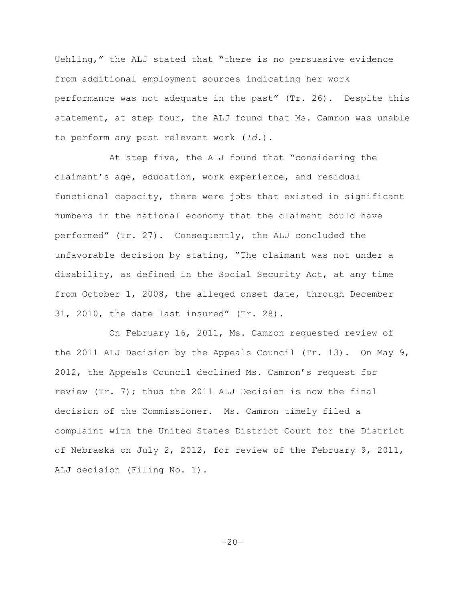Uehling," the ALJ stated that "there is no persuasive evidence from additional employment sources indicating her work performance was not adequate in the past" (Tr. 26). Despite this statement, at step four, the ALJ found that Ms. Camron was unable to perform any past relevant work (*Id.*).

At step five, the ALJ found that "considering the claimant's age, education, work experience, and residual functional capacity, there were jobs that existed in significant numbers in the national economy that the claimant could have performed" (Tr. 27). Consequently, the ALJ concluded the unfavorable decision by stating, "The claimant was not under a disability, as defined in the Social Security Act, at any time from October 1, 2008, the alleged onset date, through December 31, 2010, the date last insured" (Tr. 28).

On February 16, 2011, Ms. Camron requested review of the 2011 ALJ Decision by the Appeals Council (Tr. 13). On May 9, 2012, the Appeals Council declined Ms. Camron's request for review (Tr. 7); thus the 2011 ALJ Decision is now the final decision of the Commissioner. Ms. Camron timely filed a complaint with the United States District Court for the District of Nebraska on July 2, 2012, for review of the February 9, 2011, ALJ decision (Filing No. 1).

 $-20-$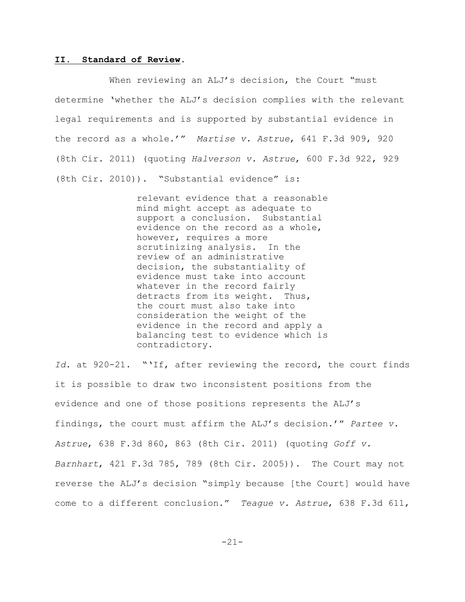### **II. Standard of Review.**

When reviewing an ALJ's decision, the Court "must determine 'whether the ALJ's decision complies with the relevant legal requirements and is supported by substantial evidence in the record as a whole.'" *Martise v. Astrue*, 641 F.3d 909, 920 (8th Cir. 2011) (quoting *Halverson v. Astrue*, 600 F.3d 922, 929 (8th Cir. 2010)). "Substantial evidence" is:

> relevant evidence that a reasonable mind might accept as adequate to support a conclusion. Substantial evidence on the record as a whole, however, requires a more scrutinizing analysis. In the review of an administrative decision, the substantiality of evidence must take into account whatever in the record fairly detracts from its weight. Thus, the court must also take into consideration the weight of the evidence in the record and apply a balancing test to evidence which is contradictory.

*Id.* at 920-21. "'If, after reviewing the record, the court finds it is possible to draw two inconsistent positions from the evidence and one of those positions represents the ALJ's findings, the court must affirm the ALJ's decision.'" *Partee v. Astrue*, 638 F.3d 860, 863 (8th Cir. 2011) (quoting *Goff v. Barnhart*, 421 F.3d 785, 789 (8th Cir. 2005)). The Court may not reverse the ALJ's decision "simply because [the Court] would have come to a different conclusion." *Teague v. Astrue*, 638 F.3d 611,

-21-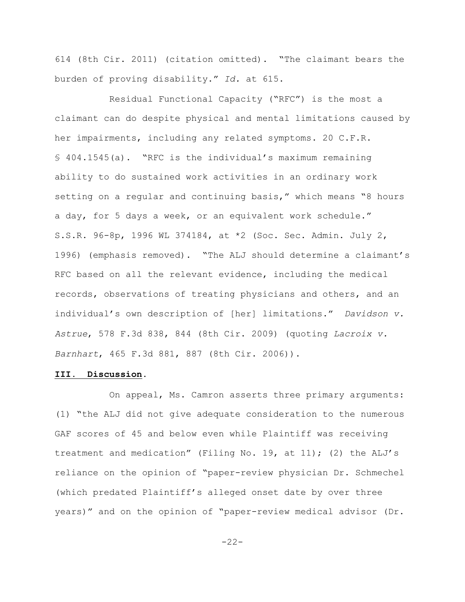614 (8th Cir. 2011) (citation omitted). "The claimant bears the burden of proving disability." *Id.* at 615.

Residual Functional Capacity ("RFC") is the most a claimant can do despite physical and mental limitations caused by her impairments, including any related symptoms. 20 C.F.R. § 404.1545(a). "RFC is the individual's maximum remaining ability to do sustained work activities in an ordinary work setting on a regular and continuing basis," which means "8 hours a day, for 5 days a week, or an equivalent work schedule." S.S.R. 96-8p, 1996 WL 374184, at \*2 (Soc. Sec. Admin. July 2, 1996) (emphasis removed). "The ALJ should determine a claimant's RFC based on all the relevant evidence, including the medical records, observations of treating physicians and others, and an individual's own description of [her] limitations." *Davidson v. Astrue*, 578 F.3d 838, 844 (8th Cir. 2009) (quoting *Lacroix v. Barnhart*, 465 F.3d 881, 887 (8th Cir. 2006)).

### **III. Discussion.**

On appeal, Ms. Camron asserts three primary arguments: (1) "the ALJ did not give adequate consideration to the numerous GAF scores of 45 and below even while Plaintiff was receiving treatment and medication" (Filing No. 19, at 11); (2) the ALJ's reliance on the opinion of "paper-review physician Dr. Schmechel (which predated Plaintiff's alleged onset date by over three years)" and on the opinion of "paper-review medical advisor (Dr.

-22-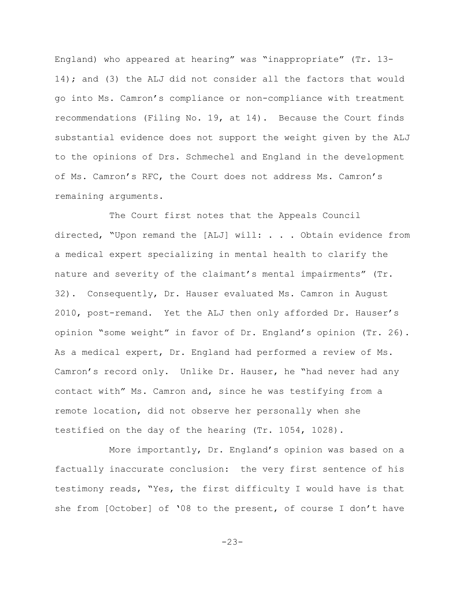England) who appeared at hearing" was "inappropriate" (Tr. 13- 14); and (3) the ALJ did not consider all the factors that would go into Ms. Camron's compliance or non-compliance with treatment recommendations (Filing No. 19, at 14). Because the Court finds substantial evidence does not support the weight given by the ALJ to the opinions of Drs. Schmechel and England in the development of Ms. Camron's RFC, the Court does not address Ms. Camron's remaining arguments.

The Court first notes that the Appeals Council directed, "Upon remand the [ALJ] will: . . . Obtain evidence from a medical expert specializing in mental health to clarify the nature and severity of the claimant's mental impairments" (Tr. 32). Consequently, Dr. Hauser evaluated Ms. Camron in August 2010, post-remand. Yet the ALJ then only afforded Dr. Hauser's opinion "some weight" in favor of Dr. England's opinion (Tr. 26). As a medical expert, Dr. England had performed a review of Ms. Camron's record only. Unlike Dr. Hauser, he "had never had any contact with" Ms. Camron and, since he was testifying from a remote location, did not observe her personally when she testified on the day of the hearing (Tr. 1054, 1028).

More importantly, Dr. England's opinion was based on a factually inaccurate conclusion: the very first sentence of his testimony reads, "Yes, the first difficulty I would have is that she from [October] of '08 to the present, of course I don't have

-23-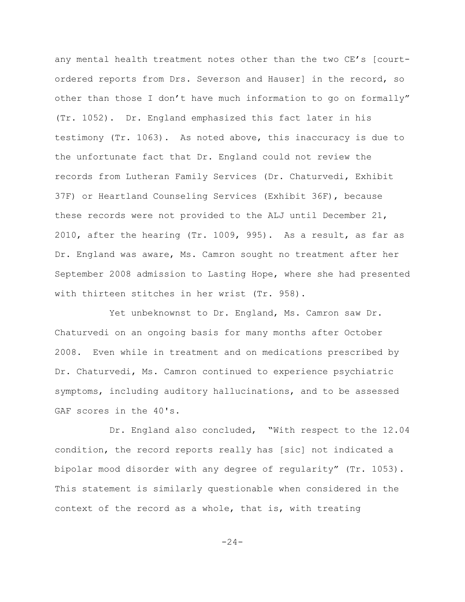any mental health treatment notes other than the two CE's [courtordered reports from Drs. Severson and Hauser] in the record, so other than those I don't have much information to go on formally" (Tr. 1052). Dr. England emphasized this fact later in his testimony (Tr. 1063). As noted above, this inaccuracy is due to the unfortunate fact that Dr. England could not review the records from Lutheran Family Services (Dr. Chaturvedi, Exhibit 37F) or Heartland Counseling Services (Exhibit 36F), because these records were not provided to the ALJ until December 21, 2010, after the hearing (Tr. 1009, 995). As a result, as far as Dr. England was aware, Ms. Camron sought no treatment after her September 2008 admission to Lasting Hope, where she had presented with thirteen stitches in her wrist (Tr. 958).

Yet unbeknownst to Dr. England, Ms. Camron saw Dr. Chaturvedi on an ongoing basis for many months after October 2008. Even while in treatment and on medications prescribed by Dr. Chaturvedi, Ms. Camron continued to experience psychiatric symptoms, including auditory hallucinations, and to be assessed GAF scores in the 40's.

Dr. England also concluded, "With respect to the 12.04 condition, the record reports really has [sic] not indicated a bipolar mood disorder with any degree of regularity" (Tr. 1053). This statement is similarly questionable when considered in the context of the record as a whole, that is, with treating

 $-24-$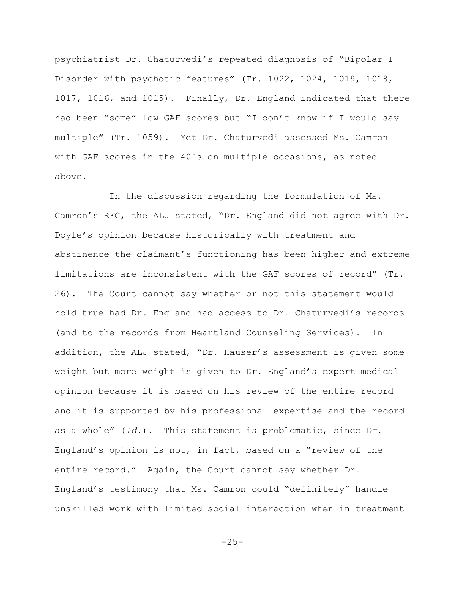psychiatrist Dr. Chaturvedi's repeated diagnosis of "Bipolar I Disorder with psychotic features" (Tr. 1022, 1024, 1019, 1018, 1017, 1016, and 1015). Finally, Dr. England indicated that there had been "some" low GAF scores but "I don't know if I would say multiple" (Tr. 1059). Yet Dr. Chaturvedi assessed Ms. Camron with GAF scores in the 40's on multiple occasions, as noted above.

In the discussion regarding the formulation of Ms. Camron's RFC, the ALJ stated, "Dr. England did not agree with Dr. Doyle's opinion because historically with treatment and abstinence the claimant's functioning has been higher and extreme limitations are inconsistent with the GAF scores of record" (Tr. 26). The Court cannot say whether or not this statement would hold true had Dr. England had access to Dr. Chaturvedi's records (and to the records from Heartland Counseling Services). In addition, the ALJ stated, "Dr. Hauser's assessment is given some weight but more weight is given to Dr. England's expert medical opinion because it is based on his review of the entire record and it is supported by his professional expertise and the record as a whole" (*Id.*). This statement is problematic, since Dr. England's opinion is not, in fact, based on a "review of the entire record." Again, the Court cannot say whether Dr. England's testimony that Ms. Camron could "definitely" handle unskilled work with limited social interaction when in treatment

-25-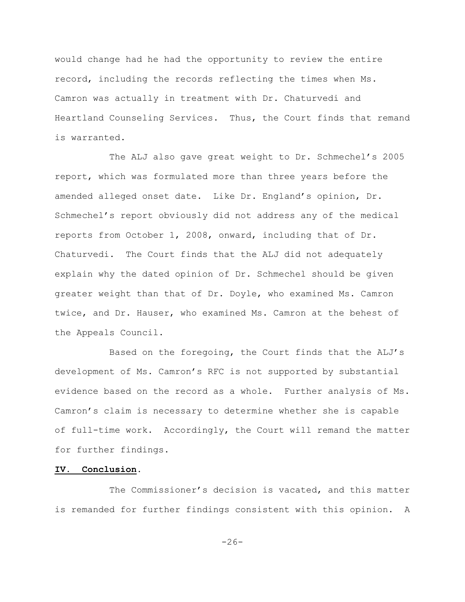would change had he had the opportunity to review the entire record, including the records reflecting the times when Ms. Camron was actually in treatment with Dr. Chaturvedi and Heartland Counseling Services. Thus, the Court finds that remand is warranted.

The ALJ also gave great weight to Dr. Schmechel's 2005 report, which was formulated more than three years before the amended alleged onset date. Like Dr. England's opinion, Dr. Schmechel's report obviously did not address any of the medical reports from October 1, 2008, onward, including that of Dr. Chaturvedi. The Court finds that the ALJ did not adequately explain why the dated opinion of Dr. Schmechel should be given greater weight than that of Dr. Doyle, who examined Ms. Camron twice, and Dr. Hauser, who examined Ms. Camron at the behest of the Appeals Council.

Based on the foregoing, the Court finds that the ALJ's development of Ms. Camron's RFC is not supported by substantial evidence based on the record as a whole. Further analysis of Ms. Camron's claim is necessary to determine whether she is capable of full-time work. Accordingly, the Court will remand the matter for further findings.

## **IV. Conclusion.**

The Commissioner's decision is vacated, and this matter is remanded for further findings consistent with this opinion. A

 $-26-$